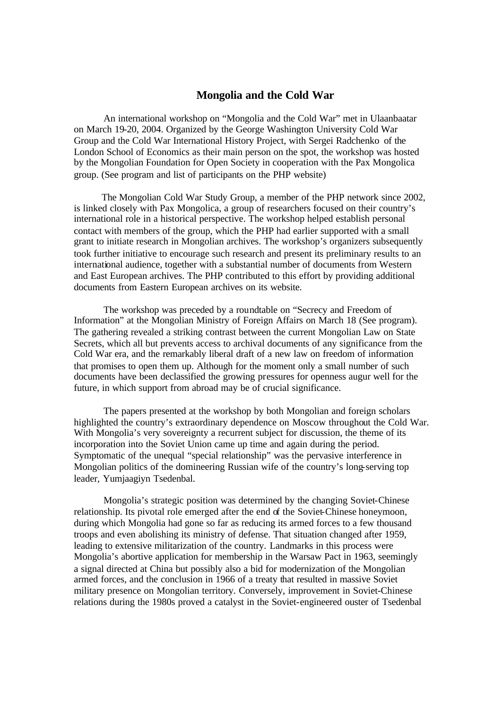## **Mongolia and the Cold War**

An international workshop on "Mongolia and the Cold War" met in Ulaanbaatar on March 19-20, 2004. Organized by the George Washington University Cold War Group and the Cold War International History Project, with Sergei Radchenko of the London School of Economics as their main person on the spot, the workshop was hosted by the Mongolian Foundation for Open Society in cooperation with the Pax Mongolica group. (See program and list of participants on the PHP website)

The Mongolian Cold War Study Group, a member of the PHP network since 2002, is linked closely with Pax Mongolica, a group of researchers focused on their country's international role in a historical perspective. The workshop helped establish personal contact with members of the group, which the PHP had earlier supported with a small grant to initiate research in Mongolian archives. The workshop's organizers subsequently took further initiative to encourage such research and present its preliminary results to an international audience, together with a substantial number of documents from Western and East European archives. The PHP contributed to this effort by providing additional documents from Eastern European archives on its website.

The workshop was preceded by a roundtable on "Secrecy and Freedom of Information" at the Mongolian Ministry of Foreign Affairs on March 18 (See program). The gathering revealed a striking contrast between the current Mongolian Law on State Secrets, which all but prevents access to archival documents of any significance from the Cold War era, and the remarkably liberal draft of a new law on freedom of information that promises to open them up. Although for the moment only a small number of such documents have been declassified the growing pressures for openness augur well for the future, in which support from abroad may be of crucial significance.

The papers presented at the workshop by both Mongolian and foreign scholars highlighted the country's extraordinary dependence on Moscow throughout the Cold War. With Mongolia's very sovereignty a recurrent subject for discussion, the theme of its incorporation into the Soviet Union came up time and again during the period. Symptomatic of the unequal "special relationship" was the pervasive interference in Mongolian politics of the domineering Russian wife of the country's long-serving top leader, Yumjaagiyn Tsedenbal.

Mongolia's strategic position was determined by the changing Soviet-Chinese relationship. Its pivotal role emerged after the end of the Soviet-Chinese honeymoon, during which Mongolia had gone so far as reducing its armed forces to a few thousand troops and even abolishing its ministry of defense. That situation changed after 1959, leading to extensive militarization of the country. Landmarks in this process were Mongolia's abortive application for membership in the Warsaw Pact in 1963, seemingly a signal directed at China but possibly also a bid for modernization of the Mongolian armed forces, and the conclusion in 1966 of a treaty that resulted in massive Soviet military presence on Mongolian territory. Conversely, improvement in Soviet-Chinese relations during the 1980s proved a catalyst in the Soviet-engineered ouster of Tsedenbal